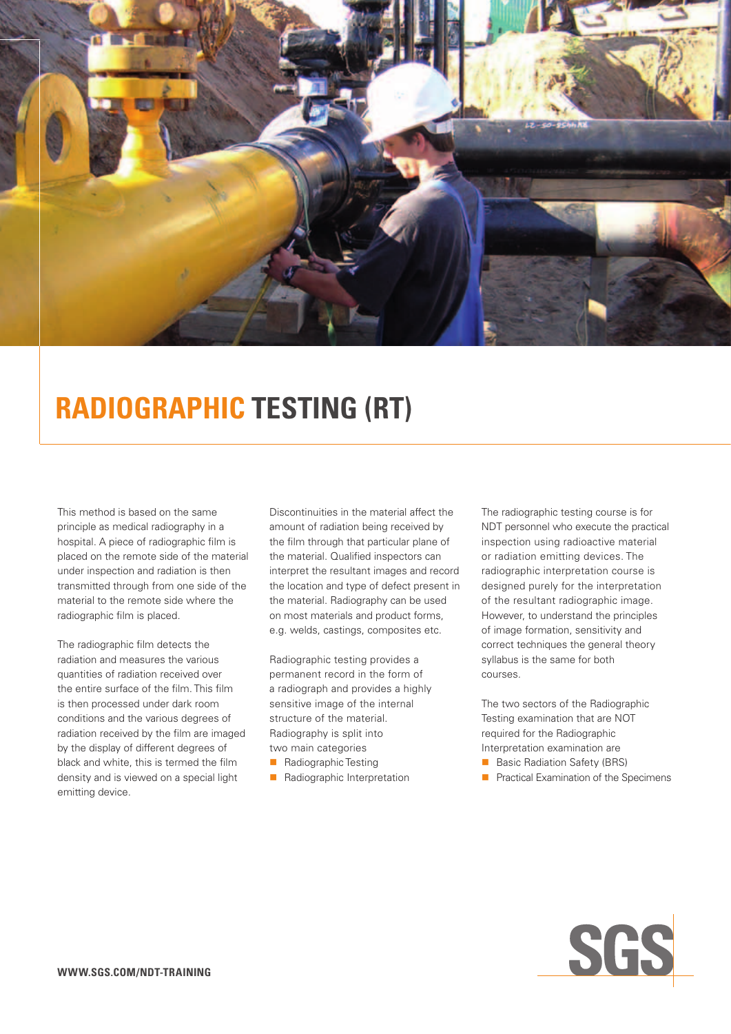

# **Radiographic Testing (RT)**

This method is based on the same principle as medical radiography in a hospital. A piece of radiographic film is placed on the remote side of the material under inspection and radiation is then transmitted through from one side of the material to the remote side where the radiographic film is placed.

The radiographic film detects the radiation and measures the various quantities of radiation received over the entire surface of the film. This film is then processed under dark room conditions and the various degrees of radiation received by the film are imaged by the display of different degrees of black and white, this is termed the film density and is viewed on a special light emitting device.

Discontinuities in the material affect the amount of radiation being received by the film through that particular plane of the material. Qualified inspectors can interpret the resultant images and record the location and type of defect present in the material. Radiography can be used on most materials and product forms, e.g. welds, castings, composites etc.

Radiographic testing provides a permanent record in the form of a radiograph and provides a highly sensitive image of the internal structure of the material. Radiography is split into two main categories

- **n** Radiographic Testing
- **n** Radiographic Interpretation

The radiographic testing course is for NDT personnel who execute the practical inspection using radioactive material or radiation emitting devices. The radiographic interpretation course is designed purely for the interpretation of the resultant radiographic image. However, to understand the principles of image formation, sensitivity and correct techniques the general theory syllabus is the same for both courses.

The two sectors of the Radiographic Testing examination that are NOT required for the Radiographic Interpretation examination are

- Basic Radiation Safety (BRS)
- **n** Practical Examination of the Specimens